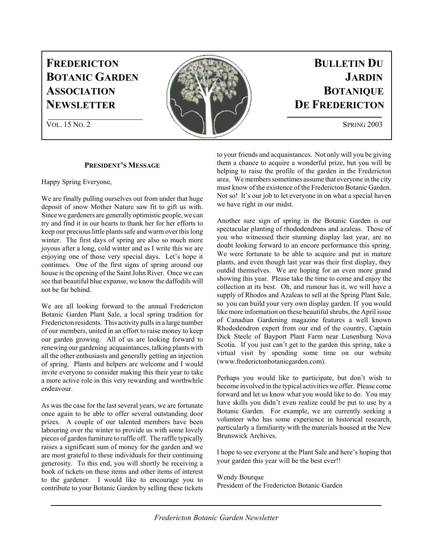# **FREDERICTON BULLETIN DU**



# **PRESIDENT'S MESSAGE**

Happy Spring Everyone,

We are finally pulling ourselves out from under that huge deposit of snow Mother Nature saw fit to gift us with. Since we gardeners are generally optimistic people, we can try and find it in our hearts to thank her for her efforts to keep our precious little plants safe and warm over this long winter. The first days of spring are also so much more joyous after a long, cold winter and as I write this we are enjoying one of those very special days. Let's hope it continues. One of the first signs of spring around our house is the opening of the Saint John River. Once we can see that beautiful blue expanse, we know the daffodils will not be far behind.

We are all looking forward to the annual Fredericton Botanic Garden Plant Sale, a local spring tradition for Fredericton residents. This activity pulls in a large number of our members, united in an effort to raise money to keep our garden growing. All of us are looking forward to renewing our gardening acquaintances, talking plants with all the other enthusiasts and generally getting an injection of spring. Plants and helpers are welcome and I would invite everyone to consider making this their year to take a more active role in this very rewarding and worthwhile endeavour.

As was the case for the last several years, we are fortunate once again to be able to offer several outstanding door prizes. A couple of our talented members have been labouring over the winter to provide us with some lovely pieces of garden furniture to raffle off. The raffle typically raises a significant sum of money for the garden and we are most grateful to these individuals for their continuing generosity. To this end, you will shortly be receiving a book of tickets on these items and other items of interest to the gardener. I would like to encourage you to contribute to your Botanic Garden by selling these tickets

to your friends and acquaintances. Not only will you be giving them a chance to acquire a wonderful prize, but you will be helping to raise the profile of the garden in the Fredericton area. We members sometimes assume that everyone in the city must know of the existence of the Fredericton Botanic Garden. Not so! It's our job to let everyone in on what a special haven we have right in our midst.

Another sure sign of spring in the Botanic Garden is our spectacular planting of rhododendrons and azaleas. Those of you who witnessed their stunning display last year, are no doubt looking forward to an encore performance this spring. We were fortunate to be able to acquire and put in mature plants, and even though last year was their first display, they outdid themselves. We are hoping for an even more grand showing this year. Please take the time to come and enjoy the collection at its best. Oh, and rumour has it, we will have a supply of Rhodos and Azaleas to sell at the Spring Plant Sale, so you can build your very own display garden. If you would like more information on these beautiful shrubs, the April issue of Canadian Gardening magazine features a well known Rhododendron expert from our end of the country, Captain Dick Steele of Bayport Plant Farm near Lunenburg Nova Scotia. If you just can't get to the garden this spring, take a virtual visit by spending some time on our website (www.frederictonbotanicgarden.com).

Perhaps you would like to participate, but don't wish to become involved in the typical activities we offer. Please come forward and let us know what you would like to do. You may have skills you didn't even realize could be put to use by a Botanic Garden. For example, we are currently seeking a volunteer who has some experience in historical research, particularly a familiarity with the materials housed at the New Brunswick Archives.

I hope to see everyone at the Plant Sale and here's hoping that your garden this year will be the best ever!!

Wendy Bourque President of the Fredericton Botanic Garden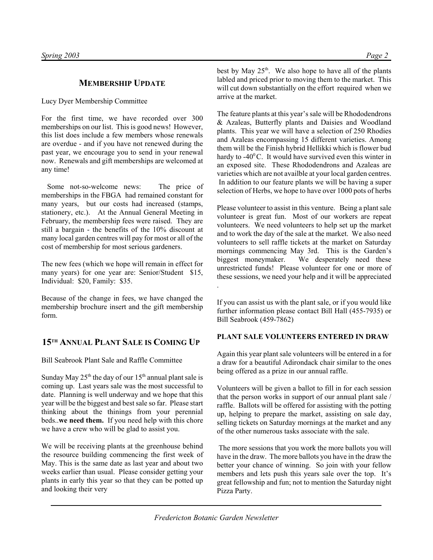# **MEMBERSHIP UPDATE**

Lucy Dyer Membership Committee

For the first time, we have recorded over 300 memberships on our list. This is good news! However, this list does include a few members whose renewals are overdue - and if you have not renewed during the past year, we encourage you to send in your renewal now. Renewals and gift memberships are welcomed at any time!

 Some not-so-welcome news: The price of memberships in the FBGA had remained constant for many years, but our costs had increased (stamps, stationery, etc.). At the Annual General Meeting in February, the membership fees were raised. They are still a bargain - the benefits of the 10% discount at many local garden centres will pay for most or all of the cost of membership for most serious gardeners.

The new fees (which we hope will remain in effect for many years) for one year are: Senior/Student \$15, Individual: \$20, Family: \$35.

Because of the change in fees, we have changed the membership brochure insert and the gift membership form.

# **15TH ANNUAL PLANT SALE IS COMING UP**

Bill Seabrook Plant Sale and Raffle Committee

Sunday May  $25<sup>th</sup>$  the day of our  $15<sup>th</sup>$  annual plant sale is coming up. Last years sale was the most successful to date. Planning is well underway and we hope that this year will be the biggest and best sale so far. Please start thinking about the thinings from your perennial beds..**we need them.** If you need help with this chore we have a crew who will be glad to assist you.

We will be receiving plants at the greenhouse behind the resource building commencing the first week of May. This is the same date as last year and about two weeks earlier than usual. Please consider getting your plants in early this year so that they can be potted up and looking their very

best by May  $25<sup>th</sup>$ . We also hope to have all of the plants labled and priced prior to moving them to the market. This will cut down substantially on the effort required when we arrive at the market.

The feature plants at this year's sale will be Rhododendrons & Azaleas, Butterfly plants and Daisies and Woodland plants. This year we will have a selection of 250 Rhodies and Azaleas encompassing 15 different varieties. Among them will be the Finish hybrid Hellikki which is flower bud hardy to  $-40^{\circ}$ C. It would have survived even this winter in an exposed site. These Rhododendrons and Azaleas are varieties which are not availble at your local garden centres. In addition to our feature plants we will be having a super selection of Herbs, we hope to have over 1000 pots of herbs

Please volunteer to assist in this venture. Being a plant sale volunteer is great fun. Most of our workers are repeat volunteers. We need volunteers to help set up the market and to work the day of the sale at the market. We also need volunteers to sell raffle tickets at the market on Saturday mornings commencing May 3rd. This is the Garden's biggest moneymaker. We desperately need these unrestricted funds! Please volunteer for one or more of these sessions, we need your help and it will be appreciated .

If you can assist us with the plant sale, or if you would like further information please contact Bill Hall (455-7935) or Bill Seabrook (459-7862)

# **PLANT SALE VOLUNTEERS ENTERED IN DRAW**

Again this year plant sale volunteers will be entered in a for a draw for a beautiful Adirondack chair similar to the ones being offered as a prize in our annual raffle.

Volunteers will be given a ballot to fill in for each session that the person works in support of our annual plant sale / raffle. Ballots will be offered for assisting with the potting up, helping to prepare the market, assisting on sale day, selling tickets on Saturday mornings at the market and any of the other numerous tasks associate with the sale.

 The more sessions that you work the more ballots you will have in the draw. The more ballots you have in the draw the better your chance of winning. So join with your fellow members and lets push this years sale over the top. It's great fellowship and fun; not to mention the Saturday night Pizza Party.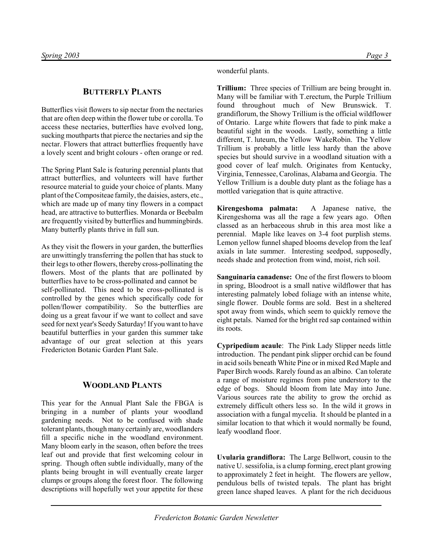wonderful plants.

### **BUTTERFLY PLANTS**

Butterflies visit flowers to sip nectar from the nectaries that are often deep within the flower tube or corolla. To access these nectaries, butterflies have evolved long, sucking mouthparts that pierce the nectaries and sip the nectar. Flowers that attract butterflies frequently have a lovely scent and bright colours - often orange or red.

The Spring Plant Sale is featuring perennial plants that attract butterflies, and volunteers will have further resource material to guide your choice of plants. Many plant of the Compositeae family, the daisies, asters, etc., which are made up of many tiny flowers in a compact head, are attractive to butterflies. Monarda or Beebalm are frequently visited by butterflies and hummingbirds. Many butterfly plants thrive in full sun.

As they visit the flowers in your garden, the butterflies are unwittingly transferring the pollen that has stuck to their legs to other flowers, thereby cross-pollinating the flowers. Most of the plants that are pollinated by butterflies have to be cross-pollinated and cannot be self-pollinated. This need to be cross-pollinated is controlled by the genes which specifically code for pollen/flower compatibility. So the butterflies are doing us a great favour if we want to collect and save seed for next year's Seedy Saturday! If you want to have beautiful butterflies in your garden this summer take advantage of our great selection at this years Fredericton Botanic Garden Plant Sale.

# **WOODLAND PLANTS**

This year for the Annual Plant Sale the FBGA is bringing in a number of plants your woodland gardening needs. Not to be confused with shade tolerant plants, though many certainly are, woodlanders fill a specific niche in the woodland environment. Many bloom early in the season, often before the trees leaf out and provide that first welcoming colour in spring. Though often subtle individually, many of the plants being brought in will eventually create larger clumps or groups along the forest floor. The following descriptions will hopefully wet your appetite for these **Trillium:** Three species of Trillium are being brought in. Many will be familiar with T.erectum, the Purple Trillium found throughout much of New Brunswick. T. grandiflorum, the Showy Trillium is the official wildflower of Ontario. Large white flowers that fade to pink make a beautiful sight in the woods. Lastly, something a little different, T. luteum, the Yellow WakeRobin. The Yellow Trillium is probably a little less hardy than the above species but should survive in a woodland situation with a good cover of leaf mulch. Originates from Kentucky, Virginia, Tennessee, Carolinas, Alabama and Georgia. The Yellow Trillium is a double duty plant as the foliage has a mottled variegation that is quite attractive.

**Kirengeshoma palmata:** A Japanese native, the Kirengeshoma was all the rage a few years ago. Often classed as an herbaceous shrub in this area most like a perennial. Maple like leaves on 3-4 foot purplish stems. Lemon yellow funnel shaped blooms develop from the leaf axials in late summer. Interesting seedpod, supposedly, needs shade and protection from wind, moist, rich soil.

**Sanguinaria canadense:** One of the first flowers to bloom in spring, Bloodroot is a small native wildflower that has interesting palmately lobed foliage with an intense white, single flower. Double forms are sold. Best in a sheltered spot away from winds, which seem to quickly remove the eight petals. Named for the bright red sap contained within its roots.

**Cypripedium acaule**: The Pink Lady Slipper needs little introduction. The pendant pink slipper orchid can be found in acid soils beneath White Pine or in mixed Red Maple and Paper Birch woods. Rarely found as an albino. Can tolerate a range of moisture regimes from pine understory to the edge of bogs. Should bloom from late May into June. Various sources rate the ability to grow the orchid as extremely difficult others less so. In the wild it grows in association with a fungal mycelia. It should be planted in a similar location to that which it would normally be found, leafy woodland floor.

**Uvularia grandiflora:** The Large Bellwort, cousin to the native U. sessifolia, is a clump forming, erect plant growing to approximately 2 feet in height. The flowers are yellow, pendulous bells of twisted tepals. The plant has bright green lance shaped leaves. A plant for the rich deciduous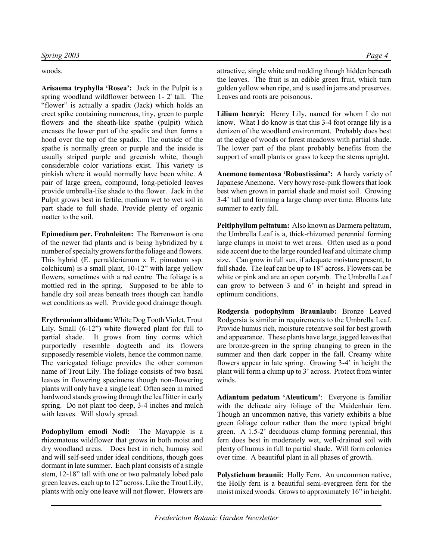woods.

**Arisaema tryphylla 'Rosea':** Jack in the Pulpit is a spring woodland wildflower between 1- 2' tall. The "flower" is actually a spadix (Jack) which holds an erect spike containing numerous, tiny, green to purple flowers and the sheath-like spathe (pulpit) which encases the lower part of the spadix and then forms a hood over the top of the spadix. The outside of the spathe is normally green or purple and the inside is usually striped purple and greenish white, though considerable color variations exist. This variety is pinkish where it would normally have been white. A pair of large green, compound, long-petioled leaves provide umbrella-like shade to the flower. Jack in the Pulpit grows best in fertile, medium wet to wet soil in part shade to full shade. Provide plenty of organic matter to the soil.

**Epimedium per. Frohnleiten:** The Barrenwort is one of the newer fad plants and is being hybridized by a number of specialty growers for the foliage and flowers. This hybrid (E. perralderianum x E. pinnatum ssp. colchicum) is a small plant, 10-12" with large yellow flowers, sometimes with a red centre. The foliage is a mottled red in the spring. Supposed to be able to handle dry soil areas beneath trees though can handle wet conditions as well. Provide good drainage though.

**Erythronium albidum:** White Dog Tooth Violet, Trout Lily. Small (6-12") white flowered plant for full to partial shade. It grows from tiny corms which purportedly resemble dogteeth and its flowers supposedly resemble violets, hence the common name. The variegated foliage provides the other common name of Trout Lily. The foliage consists of two basal leaves in flowering specimens though non-flowering plants will only have a single leaf. Often seen in mixed hardwood stands growing through the leaf litter in early spring. Do not plant too deep, 3-4 inches and mulch with leaves. Will slowly spread.

**Podophyllum emodi Nodi:** The Mayapple is a rhizomatous wildflower that grows in both moist and dry woodland areas. Does best in rich, humusy soil and will self-seed under ideal conditions, though goes dormant in late summer. Each plant consists of a single stem, 12-18" tall with one or two palmately lobed pale green leaves, each up to 12" across. Like the Trout Lily, plants with only one leave will not flower. Flowers are attractive, single white and nodding though hidden beneath the leaves. The fruit is an edible green fruit, which turn golden yellow when ripe, and is used in jams and preserves. Leaves and roots are poisonous.

**Lilium henryi:** Henry Lily, named for whom I do not know. What I do know is that this 3-4 foot orange lily is a denizen of the woodland environment. Probably does best at the edge of woods or forest meadows with partial shade. The lower part of the plant probably benefits from the support of small plants or grass to keep the stems upright.

**Anemone tomentosa 'Robustissima':** A hardy variety of Japanese Anemone. Very howy rose-pink flowers that look best when grown in partial shade and moist soil. Growing 3-4' tall and forming a large clump over time. Blooms late summer to early fall.

**Peltiphyllum peltatum:** Also known as Darmera peltatum, the Umbrella Leaf is a, thick-rhizomed perennial forming large clumps in moist to wet areas. Often used as a pond side accent due to the large rounded leaf and ultimate clump size. Can grow in full sun, if adequate moisture present, to full shade. The leaf can be up to 18" across. Flowers can be white or pink and are an open corymb. The Umbrella Leaf can grow to between 3 and 6' in height and spread in optimum conditions.

**Rodgersia podophylum Braunlaub:** Bronze Leaved Rodgersia is similar in requirements to the Umbrella Leaf. Provide humus rich, moisture retentive soil for best growth and appearance. These plants have large, jagged leaves that are bronze-green in the spring changing to green in the summer and then dark copper in the fall. Creamy white flowers appear in late spring. Growing 3-4' in height the plant will form a clump up to 3' across. Protect from winter winds.

**Adiantum pedatum 'Aleuticum'**: Everyone is familiar with the delicate airy foliage of the Maidenhair fern. Though an uncommon native, this variety exhibits a blue green foliage colour rather than the more typical bright green. A 1.5-2' deciduous clump forming perennial, this fern does best in moderately wet, well-drained soil with plenty of humus in full to partial shade. Will form colonies over time. A beautiful plant in all phases of growth.

**Polystichum braunii:** Holly Fern. An uncommon native, the Holly fern is a beautiful semi-evergreen fern for the moist mixed woods. Grows to approximately 16" in height.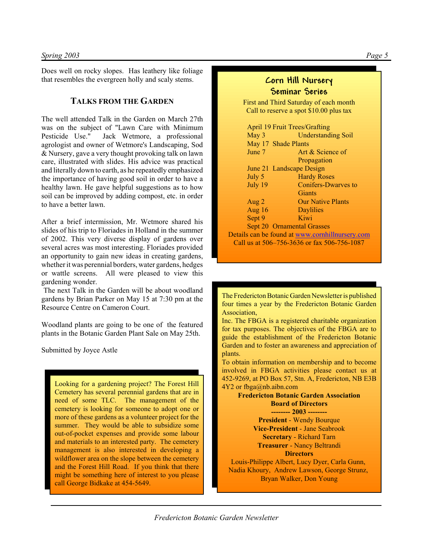Does well on rocky slopes. Has leathery like foliage that resembles the evergreen holly and scaly stems.

# **TALKS FROM THE GARDEN**

The well attended Talk in the Garden on March 27th was on the subject of "Lawn Care with Minimum Pesticide Use." Jack Wetmore, a professional agrologist and owner of Wetmore's Landscaping, Sod & Nursery, gave a very thought provoking talk on lawn care, illustrated with slides. His advice was practical and literally down to earth, as he repeatedly emphasized the importance of having good soil in order to have a healthy lawn. He gave helpful suggestions as to how soil can be improved by adding compost, etc. in order to have a better lawn.

After a brief intermission, Mr. Wetmore shared his slides of his trip to Floriades in Holland in the summer of 2002. This very diverse display of gardens over several acres was most interesting. Floriades provided an opportunity to gain new ideas in creating gardens, whether it was perennial borders, water gardens, hedges or wattle screens. All were pleased to view this gardening wonder.

 The next Talk in the Garden will be about woodland gardens by Brian Parker on May 15 at 7:30 pm at the Resource Centre on Cameron Court.

Woodland plants are going to be one of the featured plants in the Botanic Garden Plant Sale on May 25th.

Submitted by Joyce Astle

Looking for a gardening project? The Forest Hill Cemetery has several perennial gardens that are in need of some TLC. The management of the cemetery is looking for someone to adopt one or more of these gardens as a volunteer project for the summer. They would be able to subsidize some out-of-pocket expenses and provide some labour and materials to an interested party. The cemetery management is also interested in developing a wildflower area on the slope between the cemetery and the Forest Hill Road. If you think that there might be something here of interest to you please call George Bidkake at 454-5649.

# **Corn Hill Nursery Seminar Series**

First and Third Saturday of each month Call to reserve a spot \$10.00 plus tax

| <b>April 19 Fruit Trees/Grafting</b> |                                                 |
|--------------------------------------|-------------------------------------------------|
| May 3                                | <b>Understanding Soil</b>                       |
|                                      | May 17 Shade Plants                             |
| June 7                               | Art & Science of                                |
|                                      | Propagation                                     |
|                                      | June 21 Landscape Design                        |
| July 5                               | <b>Hardy Roses</b>                              |
| July 19                              | <b>Conifers-Dwarves to</b>                      |
|                                      | Giants                                          |
| Aug 2                                | <b>Our Native Plants</b>                        |
| Aug $16$                             | <b>Daylilies</b>                                |
| Sept 9                               | Kiwi                                            |
|                                      | Sept 20 Ornamental Grasses                      |
|                                      | Details can be found at www.cornhillnursery.com |
|                                      | Call us at 506-756-3636 or fax 506-756-1087     |

The Fredericton Botanic Garden Newsletter is published four times a year by the Fredericton Botanic Garden Association,

Inc. The FBGA is a registered charitable organization for tax purposes. The objectives of the FBGA are to guide the establishment of the Fredericton Botanic Garden and to foster an awareness and appreciation of plants.

To obtain information on membership and to become involved in FBGA activities please contact us at 452-9269, at PO Box 57, Stn. A, Fredericton, NB E3B  $4Y2$  or fbga@nb.aibn.com

**Fredericton Botanic Garden Association Board of Directors -------- 2003 -------- President** - Wendy Bourque **Vice-President** - Jane Seabrook **Secretary** - Richard Tarn **Treasurer** - Nancy Beltrandi **Directors** Louis-Philippe Albert, Lucy Dyer, Carla Gunn, Nadia Khoury, Andrew Lawson, George Strunz, Bryan Walker, Don Young